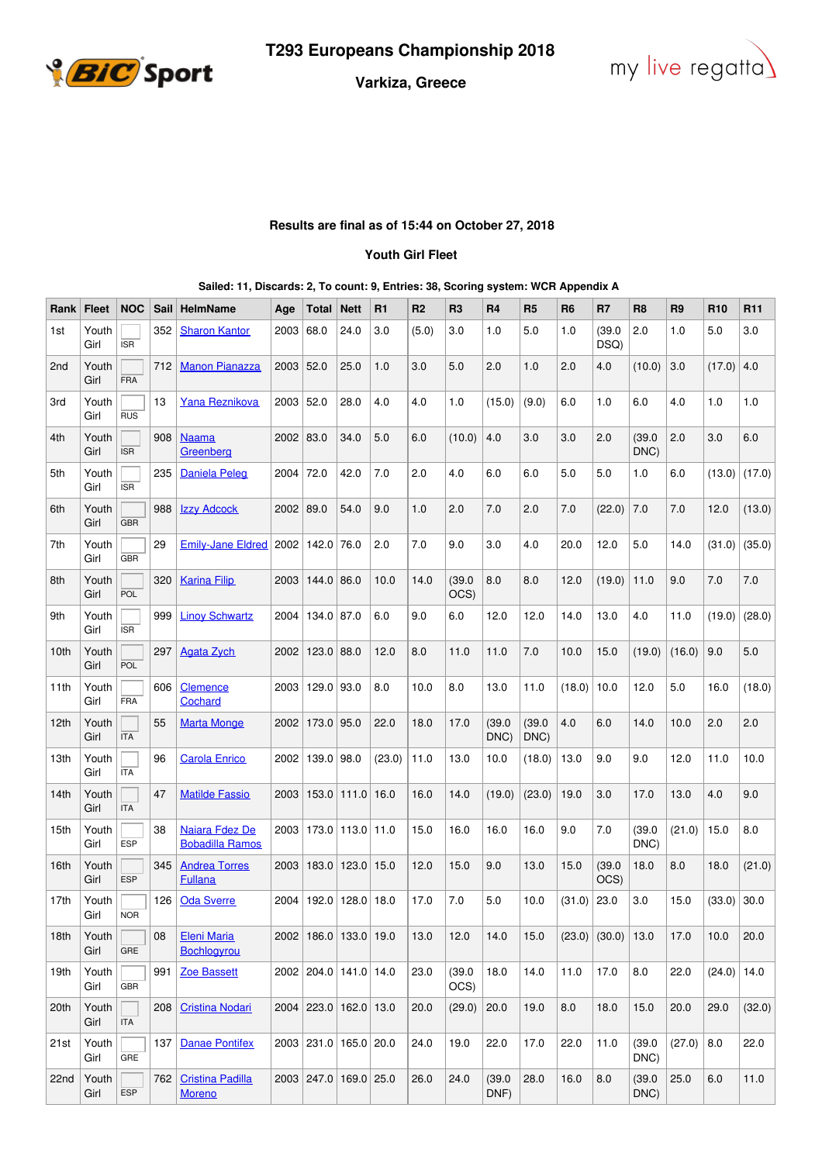



**Varkiza, Greece**

## **Results are final as of 15:44 on October 27, 2018**

## **Youth Girl Fleet**

**Sailed: 11, Discards: 2, To count: 9, Entries: 38, Scoring system: WCR Appendix A**

| Rank | <b>Fleet</b>  | <b>NOC</b> | Sail | HelmName                                 | Age         | <b>Total</b>          | <b>Nett</b>          | R1     | R <sub>2</sub> | R <sub>3</sub> | R <sub>4</sub> | R <sub>5</sub> | R <sub>6</sub> | R7             | R <sub>8</sub> | R <sub>9</sub> | <b>R10</b> | R <sub>11</sub> |
|------|---------------|------------|------|------------------------------------------|-------------|-----------------------|----------------------|--------|----------------|----------------|----------------|----------------|----------------|----------------|----------------|----------------|------------|-----------------|
| 1st  | Youth<br>Girl | <b>ISR</b> | 352  | <b>Sharon Kantor</b>                     | 2003        | 68.0                  | 24.0                 | 3.0    | (5.0)          | 3.0            | 1.0            | 5.0            | 1.0            | (39.0)<br>DSQ) | 2.0            | 1.0            | 5.0        | 3.0             |
| 2nd  | Youth<br>Girl | <b>FRA</b> | 712  | <b>Manon Pianazza</b>                    | 2003        | 52.0                  | 25.0                 | 1.0    | 3.0            | 5.0            | 2.0            | 1.0            | 2.0            | 4.0            | (10.0)         | 3.0            | (17.0)     | 4.0             |
| 3rd  | Youth<br>Girl | <b>RUS</b> | 13   | Yana Reznikova                           | 2003        | 52.0                  | 28.0                 | 4.0    | 4.0            | 1.0            | (15.0)         | (9.0)          | 6.0            | 1.0            | 6.0            | 4.0            | 1.0        | 1.0             |
| 4th  | Youth<br>Girl | <b>ISR</b> | 908  | <b>Naama</b><br>Greenberg                | 2002        | 83.0                  | 34.0                 | 5.0    | 6.0            | (10.0)         | 4.0            | 3.0            | 3.0            | 2.0            | (39.0)<br>DNC) | 2.0            | 3.0        | 6.0             |
| 5th  | Youth<br>Girl | <b>ISR</b> | 235  | <b>Daniela Peleg</b>                     | 2004        | 72.0                  | 42.0                 | 7.0    | 2.0            | 4.0            | 6.0            | 6.0            | 5.0            | 5.0            | 1.0            | 6.0            | (13.0)     | (17.0)          |
| 6th  | Youth<br>Girl | <b>GBR</b> | 988  | <b>Izzy Adcock</b>                       | 2002   89.0 |                       | 54.0                 | 9.0    | 1.0            | 2.0            | 7.0            | 2.0            | 7.0            | (22.0)         | 7.0            | 7.0            | 12.0       | (13.0)          |
| 7th  | Youth<br>Girl | <b>GBR</b> | 29   | <b>Emily-Jane Eldred</b>                 | 2002        | 142.0                 | 76.0                 | 2.0    | 7.0            | 9.0            | 3.0            | 4.0            | 20.0           | 12.0           | 5.0            | 14.0           | (31.0)     | (35.0)          |
| 8th  | Youth<br>Girl | <b>POL</b> | 320  | <b>Karina Filip</b>                      | 2003        | 144.0                 | 86.0                 | 10.0   | 14.0           | (39.0)<br>OCS) | 8.0            | 8.0            | 12.0           | (19.0)         | 11.0           | 9.0            | 7.0        | 7.0             |
| 9th  | Youth<br>Girl | <b>ISR</b> | 999  | <b>Linov Schwartz</b>                    | 2004        | 134.0                 | 87.0                 | 6.0    | 9.0            | 6.0            | 12.0           | 12.0           | 14.0           | 13.0           | 4.0            | 11.0           | (19.0)     | (28.0)          |
| 10th | Youth<br>Girl | POL        | 297  | <b>Agata Zych</b>                        | 2002        | 123.0                 | 88.0                 | 12.0   | 8.0            | 11.0           | 11.0           | 7.0            | 10.0           | 15.0           | (19.0)         | (16.0)         | 9.0        | 5.0             |
| 11th | Youth<br>Girl | FRA        | 606  | <b>Clemence</b><br>Cochard               | 2003        | 129.0                 | 93.0                 | 8.0    | 10.0           | 8.0            | 13.0           | 11.0           | (18.0)         | 10.0           | 12.0           | 5.0            | 16.0       | (18.0)          |
| 12th | Youth<br>Girl | <b>ITA</b> | 55   | <b>Marta Monge</b>                       | 2002        | 173.0                 | 95.0                 | 22.0   | 18.0           | 17.0           | (39.0)<br>DNC) | (39.0)<br>DNC) | 4.0            | 6.0            | 14.0           | 10.0           | 2.0        | 2.0             |
| 13th | Youth<br>Girl | <b>ITA</b> | 96   | <b>Carola Enrico</b>                     | 2002        | 139.0                 | 98.0                 | (23.0) | 11.0           | 13.0           | 10.0           | (18.0)         | 13.0           | 9.0            | 9.0            | 12.0           | 11.0       | 10.0            |
| 14th | Youth<br>Girl | <b>ITA</b> | 47   | <b>Matilde Fassio</b>                    | 2003        | 153.0                 | 111.0                | 16.0   | 16.0           | 14.0           | (19.0)         | (23.0)         | 19.0           | 3.0            | 17.0           | 13.0           | 4.0        | 9.0             |
| 15th | Youth<br>Girl | <b>ESP</b> | 38   | Naiara Fdez De<br><b>Bobadilla Ramos</b> | 2003        |                       | 173.0   113.0   11.0 |        | 15.0           | 16.0           | 16.0           | 16.0           | 9.0            | 7.0            | (39.0)<br>DNC) | (21.0)         | 15.0       | 8.0             |
| 16th | Youth<br>Girl | <b>ESP</b> | 345  | <b>Andrea Torres</b><br><b>Fullana</b>   | 2003        | 183.0                 | 123.0                | 15.0   | 12.0           | 15.0           | 9.0            | 13.0           | 15.0           | (39.0)<br>OCS) | 18.0           | 8.0            | 18.0       | (21.0)          |
| 17th | Youth<br>Girl | <b>NOR</b> | 126  | <b>Oda Sverre</b>                        | 2004        | 192.0                 | 128.0                | 18.0   | 17.0           | 7.0            | 5.0            | 10.0           | (31.0)         | 23.0           | 3.0            | 15.0           | (33.0)     | 30.0            |
| 18th | Youth<br>Girl | GRE        | 08   | <b>Eleni Maria</b><br>Bochlogyrou        | 2002        |                       | 186.0 133.0 19.0     |        | 13.0           | 12.0           | 14.0           | 15.0           | (23.0)         | (30.0)         | 13.0           | 17.0           | 10.0       | 20.0            |
| 19th | Youth<br>Girl | GBR        | 991  | <b>Zoe Bassett</b>                       |             | 2002 204.0 141.0 14.0 |                      |        | 23.0           | (39.0)<br>OCS) | 18.0           | 14.0           | 11.0           | 17.0           | 8.0            | 22.0           | (24.0)     | 14.0            |
| 20th | Youth<br>Girl | <b>ITA</b> | 208  | <b>Cristina Nodari</b>                   |             | 2004 223.0 162.0 13.0 |                      |        | 20.0           | (29.0)         | 20.0           | 19.0           | 8.0            | 18.0           | 15.0           | 20.0           | 29.0       | (32.0)          |
| 21st | Youth<br>Girl | <b>GRE</b> | 137  | <b>Danae Pontifex</b>                    |             | 2003 231.0 165.0 20.0 |                      |        | 24.0           | 19.0           | 22.0           | 17.0           | 22.0           | 11.0           | (39.0)<br>DNC) | (27.0)         | 8.0        | 22.0            |
| 22nd | Youth<br>Girl | <b>ESP</b> | 762  | <b>Cristina Padilla</b><br><b>Moreno</b> |             | 2003 247.0 169.0 25.0 |                      |        | 26.0           | 24.0           | (39.0)<br>DNF) | 28.0           | 16.0           | 8.0            | (39.0)<br>DNC) | 25.0           | 6.0        | 11.0            |